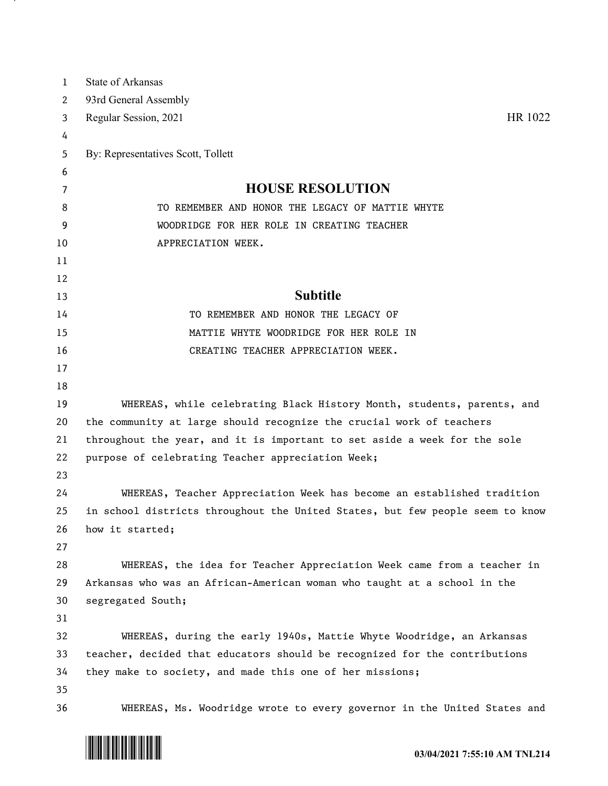| 1  | <b>State of Arkansas</b>                                                      |
|----|-------------------------------------------------------------------------------|
| 2  | 93rd General Assembly                                                         |
| 3  | HR 1022<br>Regular Session, 2021                                              |
| 4  |                                                                               |
| 5  | By: Representatives Scott, Tollett                                            |
| 6  |                                                                               |
| 7  | <b>HOUSE RESOLUTION</b>                                                       |
| 8  | TO REMEMBER AND HONOR THE LEGACY OF MATTIE WHYTE                              |
| 9  | WOODRIDGE FOR HER ROLE IN CREATING TEACHER                                    |
| 10 | APPRECIATION WEEK.                                                            |
| 11 |                                                                               |
| 12 |                                                                               |
| 13 | <b>Subtitle</b>                                                               |
| 14 | TO REMEMBER AND HONOR THE LEGACY OF                                           |
| 15 | MATTIE WHYTE WOODRIDGE FOR HER ROLE IN                                        |
| 16 | CREATING TEACHER APPRECIATION WEEK.                                           |
| 17 |                                                                               |
| 18 |                                                                               |
| 19 | WHEREAS, while celebrating Black History Month, students, parents, and        |
| 20 | the community at large should recognize the crucial work of teachers          |
| 21 | throughout the year, and it is important to set aside a week for the sole     |
| 22 | purpose of celebrating Teacher appreciation Week;                             |
| 23 |                                                                               |
| 24 | WHEREAS, Teacher Appreciation Week has become an established tradition        |
| 25 | in school districts throughout the United States, but few people seem to know |
| 26 | how it started;                                                               |
| 27 |                                                                               |
| 28 | WHEREAS, the idea for Teacher Appreciation Week came from a teacher in        |
| 29 | Arkansas who was an African-American woman who taught at a school in the      |
| 30 | segregated South;                                                             |
| 31 |                                                                               |
| 32 | WHEREAS, during the early 1940s, Mattie Whyte Woodridge, an Arkansas          |
| 33 | teacher, decided that educators should be recognized for the contributions    |
| 34 | they make to society, and made this one of her missions;                      |
| 35 |                                                                               |
| 36 | WHEREAS, Ms. Woodridge wrote to every governor in the United States and       |



and the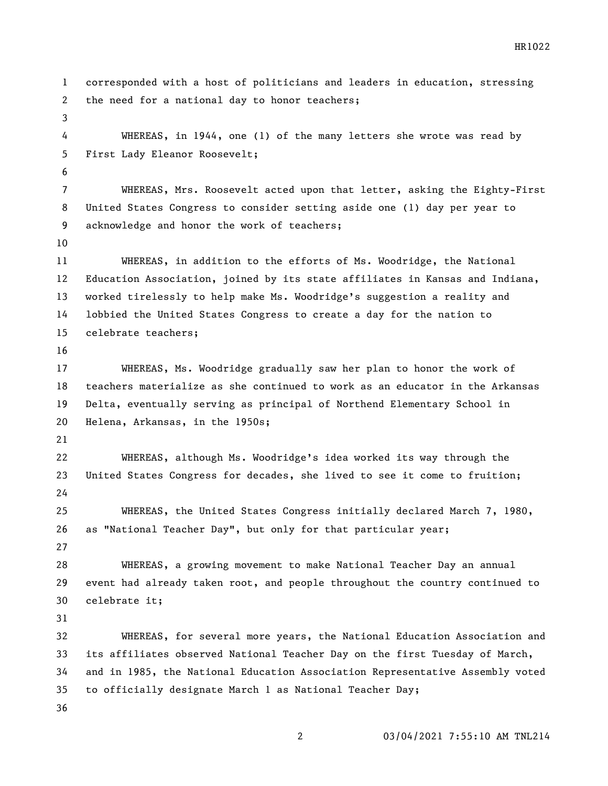corresponded with a host of politicians and leaders in education, stressing the need for a national day to honor teachers; WHEREAS, in 1944, one (1) of the many letters she wrote was read by First Lady Eleanor Roosevelt; WHEREAS, Mrs. Roosevelt acted upon that letter, asking the Eighty-First United States Congress to consider setting aside one (1) day per year to acknowledge and honor the work of teachers; WHEREAS, in addition to the efforts of Ms. Woodridge, the National Education Association, joined by its state affiliates in Kansas and Indiana, worked tirelessly to help make Ms. Woodridge's suggestion a reality and lobbied the United States Congress to create a day for the nation to celebrate teachers; WHEREAS, Ms. Woodridge gradually saw her plan to honor the work of teachers materialize as she continued to work as an educator in the Arkansas Delta, eventually serving as principal of Northend Elementary School in Helena, Arkansas, in the 1950s; WHEREAS, although Ms. Woodridge's idea worked its way through the United States Congress for decades, she lived to see it come to fruition; WHEREAS, the United States Congress initially declared March 7, 1980, as "National Teacher Day", but only for that particular year; WHEREAS, a growing movement to make National Teacher Day an annual event had already taken root, and people throughout the country continued to celebrate it; WHEREAS, for several more years, the National Education Association and its affiliates observed National Teacher Day on the first Tuesday of March, and in 1985, the National Education Association Representative Assembly voted to officially designate March 1 as National Teacher Day;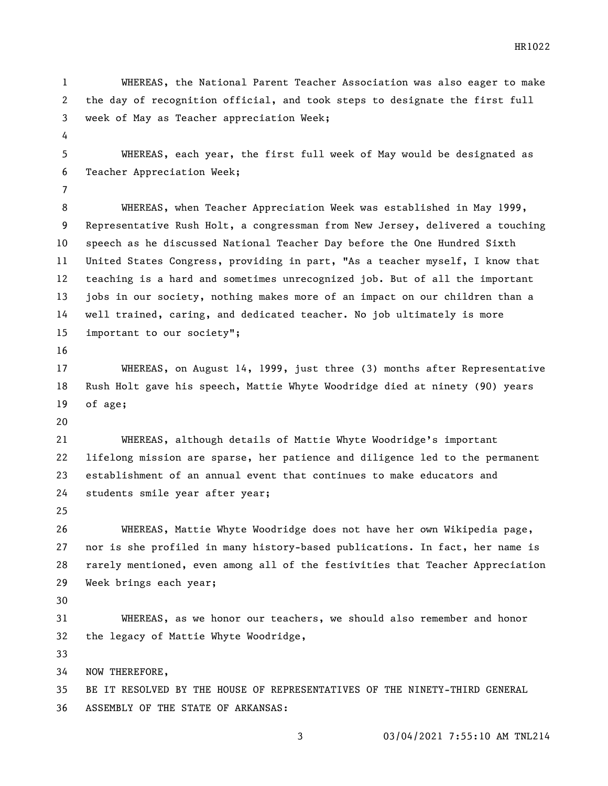WHEREAS, the National Parent Teacher Association was also eager to make the day of recognition official, and took steps to designate the first full week of May as Teacher appreciation Week;

 WHEREAS, each year, the first full week of May would be designated as Teacher Appreciation Week;

 WHEREAS, when Teacher Appreciation Week was established in May 1999, Representative Rush Holt, a congressman from New Jersey, delivered a touching speech as he discussed National Teacher Day before the One Hundred Sixth United States Congress, providing in part, "As a teacher myself, I know that teaching is a hard and sometimes unrecognized job. But of all the important jobs in our society, nothing makes more of an impact on our children than a well trained, caring, and dedicated teacher. No job ultimately is more important to our society";

 WHEREAS, on August 14, 1999, just three (3) months after Representative Rush Holt gave his speech, Mattie Whyte Woodridge died at ninety (90) years of age;

 WHEREAS, although details of Mattie Whyte Woodridge's important lifelong mission are sparse, her patience and diligence led to the permanent establishment of an annual event that continues to make educators and students smile year after year;

 WHEREAS, Mattie Whyte Woodridge does not have her own Wikipedia page, nor is she profiled in many history-based publications. In fact, her name is rarely mentioned, even among all of the festivities that Teacher Appreciation Week brings each year;

 WHEREAS, as we honor our teachers, we should also remember and honor the legacy of Mattie Whyte Woodridge,

NOW THEREFORE,

 BE IT RESOLVED BY THE HOUSE OF REPRESENTATIVES OF THE NINETY-THIRD GENERAL ASSEMBLY OF THE STATE OF ARKANSAS: